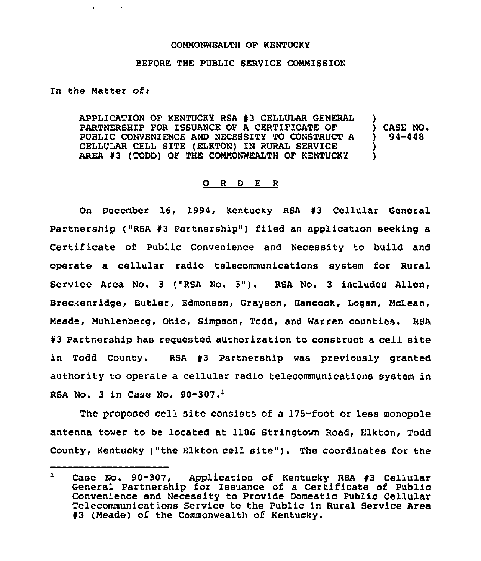## COMMONWEALTH OF KENTUCKY

## BEFORE THE PUBLIC SERVICE COMMISSION

In the Matter of:

APPLICATION OF KENTUCKY RSA 43 CELLULAR GENERAL PARTNERSHIP FOR ISSUANCE OF A CERTIFICATE OF PUBLIC CONVENIENCE AND NECESSITY TO CONSTRUCT A CELLULAR CELL SITE (ELKTON) IN RURAL SERVICE AREA 43 (TODD) OF THE COMMONWEALTH OF KENTUCKY ) ) CASE NO+ ) 94-448 ) )

## 0 <sup>R</sup> <sup>D</sup> E R

On December 16, 1994, Kentucky RSA 43 Cellular General Partnership ("RSA #3 Partnership") filed an application seeking a Certificate of Public Convenience and Necessity to build and operate a cellular radio telecommunications system for Rural Service Area No. <sup>3</sup> ("RSA No. 3"). RSA No. <sup>3</sup> includes Allen, Breckenridge, Butler, Edmonson, Grayson, Hancock, Logan, McLean, Meade, Muhlenberg, Ohio, Simpson, Todd, and Warren counties. RSA #3 Partnership has requested authorization to construct a cell site in Todd County. RSA #3 Partnership was previously granted authority to operate a cellular radio telecommunications system in RSA No. 3 in Case No.  $90-307$ .<sup>1</sup>

The proposed cell site consists of a 175-foot or less monopole antenna tower to be located at 1106 Stringtown Road, Elkton, Todd County, Kentucky ("the Elkton cell site" ). The coordinates for the

 $\mathbf{L}$ Case No. 90-307, Application of Kentucky RSA 43 Cellular General Partnership for Issuance of a Certificate of Public Convenience and Necessity to Provide Domestic Public Cellular Telecommunications Service to the Public in Rural Service Area 43 (Meade) of the Commonwealth of Kentucky.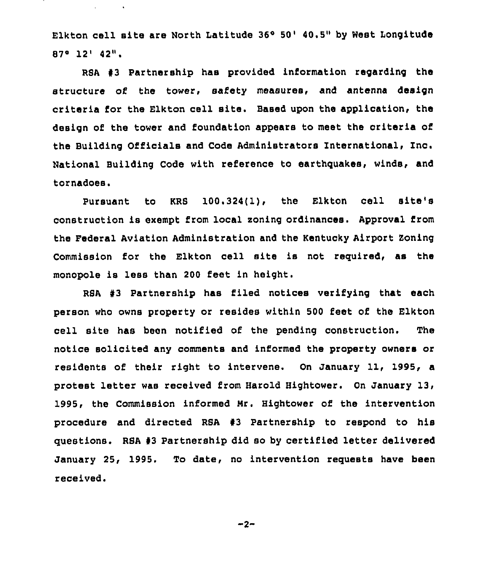Elkton cell site are North Latitude 36° 50' 40.5" by West Longitude  $87^\circ$  12' 42".

RSA  $#3$  Partnership has provided information regarding the structure of the tower, safety measures, and antenna design criteria for the Elkton cell site. Based upon the application, the design of the tower and foundation appears to meet the criteria of the Building Officials and Code Administrators International, Inc. National Bui18ing Code with reference to earthguakes, winds, and tornadoes.

Pursuant to KRS 100.324(1), the Elkton cell site's construction is exempt from local zoning ordinances. Approval from the Federal Aviation Administration and the Kentucky Airport Soning Commission for the Elkton cell site is not required, as the monopole is less than 200 feet in height.

RSA #3 Partnership has filed notices verifying that each person who owns property or resides within 500 feet of the Elkton cell site has been notified of the pending construction. The notice solicited any comments and informed the property owners or residents of their right to intervene. On January 11, 1995, a protest letter was received from Harold Hightower. On January 13, 1995, the Commission informed Hr. Hightower of the intervention procedure and directed RSA #3 Partnership to respond to his questions. RSA <sup>43</sup> Partnership did so by certified letter delivered January 25, 1995. To date, no intervention requests have been received.

 $-2-$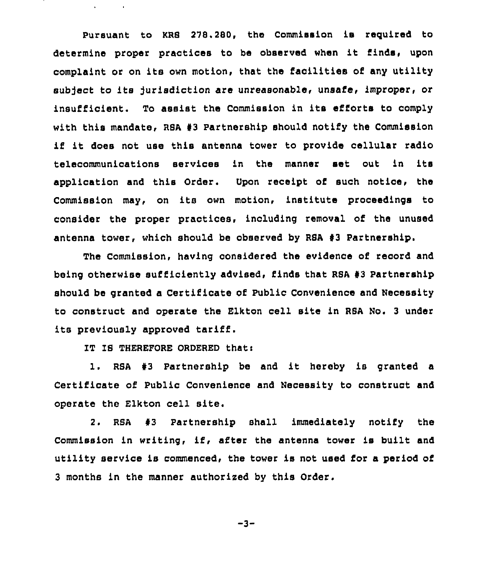Pursuant to KRS 278.280, the Commission is required to determine proper practices to be observed when it finds, upon complaint or on its own motion, that the facilities of any utility subject to its jurisdiction are unreasonable, unsafe, improper, or insufficient. To assist the Commission in its efforts to comply with this mandate, RSA #3 Partnership should notify the Commission if it does not use this antenna tower to provide cellular radio telecommunications services in the manner set out in its application and this Order. Upon receipt of such notice, the Commission may, on its own motion, institute proceedings to consider the proper practices, including removal of the unused antenna tower, which should be observed by RSA 43 Partnership.

The Commission, having considered the evidence of record and being otherwise sufficiently advised, finds that RSA #3 Partnership should be granted a Certificate of Public Convenience and Necessity to construct and operate the Elkton cell site in RSA No. <sup>3</sup> under its previously approved tariff.

IT IS THEREFORE ORDERED thati

 $\mathbf{A}^{\mathrm{eff}}$ 

1. RSA #3 Partnership be and it hereby is granted a Certificate of Public Convenience and Necessity to construct and operate the Elkton cell site.

2. RSA 43 Partnership shall immediately notify the Commission in writing, if, after the antenna tower is built and utility service is commenced, the tower is not used for a period of 3 months in the manner authorized by this Order.

 $-3-$